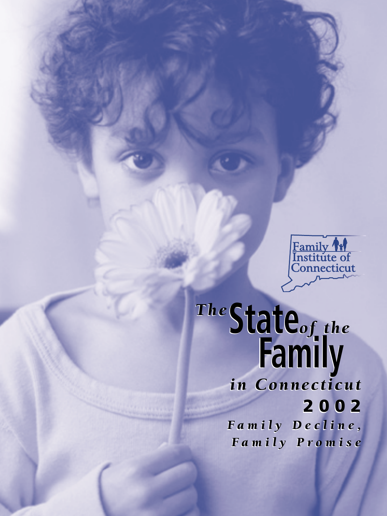

*The***State***of the* **Family** *The***State***of the* **Family**

*in Connecticut in Connecticut*  **2002 2002**

*Family Decline, Family Decline, Family Promise Family Promise*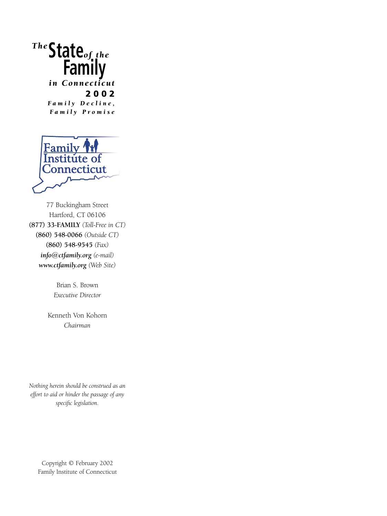# *The***State***of the* **Family**

*in Connecticut*  **2002** *Family Decline, Family Promise*



77 Buckingham Street Hartford, CT 06106 **(877) 33-FAMILY** *(Toll-Free in CT)* **(860) 548-0066** *(Outside CT)* **(860) 548-9545** *(Fax) info@ctfamily.org (e-mail) www.ctfamily.org (Web Site)*

> Brian S. Brown *Executive Director*

Kenneth Von Kohorn *Chairman*

*Nothing herein should be construed as an effort to aid or hinder the passage of any specific legislation.*

Copyright © February 2002 Family Institute of Connecticut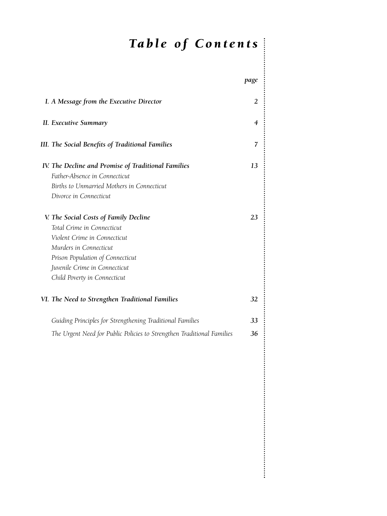## *Table of Contents*

|                                                                                                                                                                                                                                    | page |
|------------------------------------------------------------------------------------------------------------------------------------------------------------------------------------------------------------------------------------|------|
| I. A Message from the Executive Director                                                                                                                                                                                           | 2    |
| II. Executive Summary                                                                                                                                                                                                              | 4    |
| III. The Social Benefits of Traditional Families                                                                                                                                                                                   | 7    |
| IV. The Decline and Promise of Traditional Families<br>Father-Absence in Connecticut<br>Births to Unmarried Mothers in Connecticut<br>Divorce in Connecticut                                                                       | 13   |
| V. The Social Costs of Family Decline<br>Total Crime in Connecticut<br>Violent Crime in Connecticut<br>Murders in Connecticut<br>Prison Population of Connecticut<br>Juvenile Crime in Connecticut<br>Child Poverty in Connecticut | 23   |
| VI. The Need to Strengthen Traditional Families                                                                                                                                                                                    | 32   |
| Guiding Principles for Strengthening Traditional Families                                                                                                                                                                          | 33   |
| The Urgent Need for Public Policies to Strengthen Traditional Families                                                                                                                                                             | 36   |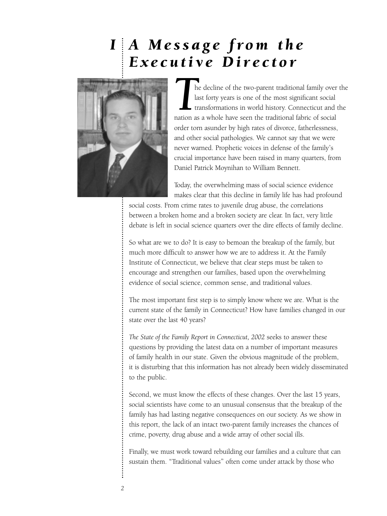## *A Message from the IExecutive Director*



*T*he decline of the two-parent traditional family over the last forty years is one of the most significant social transformations in world history. Connecticut and the nation as a whole have seen the traditional fabric of social order torn asunder by high rates of divorce, fatherlessness, and other social pathologies. We cannot say that we were never warned. Prophetic voices in defense of the family's crucial importance have been raised in many quarters, from Daniel Patrick Moynihan to William Bennett.

Today, the overwhelming mass of social science evidence makes clear that this decline in family life has had profound

social costs. From crime rates to juvenile drug abuse, the correlations between a broken home and a broken society are clear. In fact, very little debate is left in social science quarters over the dire effects of family decline.

So what are we to do? It is easy to bemoan the breakup of the family, but much more difficult to answer how we are to address it. At the Family Institute of Connecticut, we believe that clear steps must be taken to encourage and strengthen our families, based upon the overwhelming evidence of social science, common sense, and traditional values.

The most important first step is to simply know where we are. What is the current state of the family in Connecticut? How have families changed in our state over the last 40 years?

*The State of the Family Report in Connecticut, 2002* seeks to answer these questions by providing the latest data on a number of important measures of family health in our state. Given the obvious magnitude of the problem, it is disturbing that this information has not already been widely disseminated to the public.

Second, we must know the effects of these changes. Over the last 15 years, social scientists have come to an unusual consensus that the breakup of the family has had lasting negative consequences on our society. As we show in this report, the lack of an intact two-parent family increases the chances of crime, poverty, drug abuse and a wide array of other social ills.

Finally, we must work toward rebuilding our families and a culture that can sustain them. "Traditional values" often come under attack by those who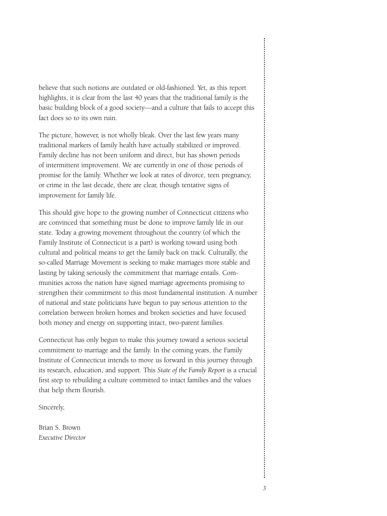believe that such notions are outdated or old-fashioned. Yet, as this report highlights, it is clear from the last 40 years that the traditional family is the basic building block of a good society—and a culture that fails to accept this fact does so to its own ruin.

The picture, however, is not wholly bleak. Over the last few years many traditional markers of family health have actually stabilized or improved. Family decline has not been uniform and direct, but has shown periods of intermittent improvement. We are currently in one of those periods of promise for the family. Whether we look at rates of divorce, teen pregnancy, or crime in the last decade, there are clear, though tentative signs of improvement for family life.

This should give hope to the growing number of Connecticut citizens who are convinced that something must be done to improve family life in our state. Today a growing movement throughout the country (of which the Family Institute of Connecticut is a part) is working toward using both cultural and political means to get the family back on track. Culturally, the so-called Marriage Movement is seeking to make marriages more stable and lasting by taking seriously the commitment that marriage entails. Communities across the nation have signed marriage agreements promising to strengthen their commitment to this most fundamental institution. A number of national and state politicians have begun to pay serious attention to the correlation between broken homes and broken societies and have focused both money and energy on supporting intact, two-parent families.

Connecticut has only begun to make this journey toward a serious societal commitment to marriage and the family. In the coming years, the Family Institute of Connecticut intends to move us forward in this journey through its research, education, and support. This *State of the Family Report* is a crucial first step to rebuilding a culture committed to intact families and the values that help them flourish.

Sincerely,

Brian S. Brown *Executive Director*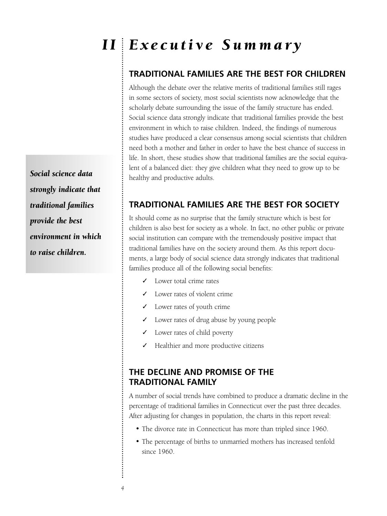# *Executive Summary I I*

## **TRADITIONAL FAMILIES ARE THE BEST FOR CHILDREN**

Although the debate over the relative merits of traditional families still rages in some sectors of society, most social scientists now acknowledge that the scholarly debate surrounding the issue of the family structure has ended. Social science data strongly indicate that traditional families provide the best environment in which to raise children. Indeed, the findings of numerous studies have produced a clear consensus among social scientists that children need both a mother and father in order to have the best chance of success in life. In short, these studies show that traditional families are the social equivalent of a balanced diet: they give children what they need to grow up to be healthy and productive adults.

## **TRADITIONAL FAMILIES ARE THE BEST FOR SOCIETY**

It should come as no surprise that the family structure which is best for children is also best for society as a whole. In fact, no other public or private social institution can compare with the tremendously positive impact that traditional families have on the society around them. As this report documents, a large body of social science data strongly indicates that traditional families produce all of the following social benefits:

- ✓ Lower total crime rates
- ✓ Lower rates of violent crime
- ✓ Lower rates of youth crime
- ✓ Lower rates of drug abuse by young people
- ✓ Lower rates of child poverty
- Healthier and more productive citizens

## **THE DECLINE AND PROMISE OF THE TRADITIONAL FAMILY**

A number of social trends have combined to produce a dramatic decline in the percentage of traditional families in Connecticut over the past three decades. After adjusting for changes in population, the charts in this report reveal:

- The divorce rate in Connecticut has more than tripled since 1960.
- The percentage of births to unmarried mothers has increased tenfold since 1960.

*Social science data strongly indicate that traditional families provide the best environment in which to raise children.*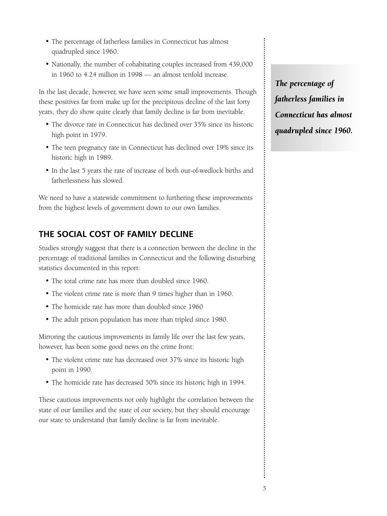- The percentage of fatherless families in Connecticut has almost quadrupled since 1960.
- Nationally, the number of cohabitating couples increased from 439,000 in 1960 to 4.24 million in 1998 — an almost tenfold increase.

In the last decade, however, we have seen some small improvements. Though these positives far from make up for the precipitous decline of the last forty years, they do show quite clearly that family decline is far from inevitable.

- The divorce rate in Connecticut has declined over 35% since its historic high point in 1979.
- The teen pregnancy rate in Connecticut has declined over 19% since its historic high in 1989.
- In the last 5 years the rate of increase of both out-of-wedlock births and fatherlessness has slowed.

We need to have a statewide commitment to furthering these improvements from the highest levels of government down to our own families.

## **THE SOCIAL COST OF FAMILY DECLINE**

Studies strongly suggest that there is a connection between the decline in the percentage of traditional families in Connecticut and the following disturbing statistics documented in this report:

- The total crime rate has more than doubled since 1960.
- The violent crime rate is more than 9 times higher than in 1960.
- The homicide rate has more than doubled since 1960
- The adult prison population has more than tripled since 1980.

Mirroring the cautious improvements in family life over the last few years, however, has been some good news on the crime front:

- The violent crime rate has decreased over 37% since its historic high point in 1990.
- The homicide rate has decreased 50% since its historic high in 1994.

These cautious improvements not only highlight the correlation between the state of our families and the state of our society, but they should encourage our state to understand that family decline is far from inevitable.

*The percentage of fatherless families in Connecticut has almost quadrupled since 1960.*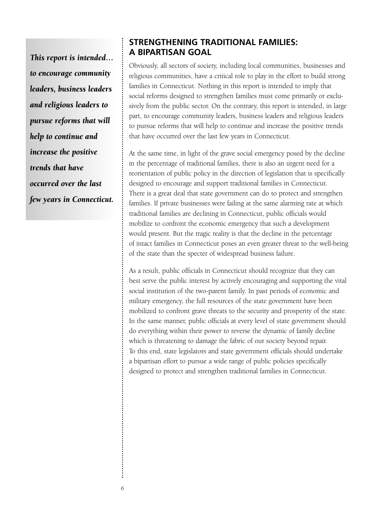*This report is intended… to encourage community leaders, business leaders and religious leaders to pursue reforms that will help to continue and increase the positive trends that have occurred over the last few years in Connecticut.*

## **STRENGTHENING TRADITIONAL FAMILIES: A BIPARTISAN GOAL**

Obviously, all sectors of society, including local communities, businesses and religious communities, have a critical role to play in the effort to build strong families in Connecticut. Nothing in this report is intended to imply that social reforms designed to strengthen families must come primarily or exclusively from the public sector. On the contrary, this report is intended, in large part, to encourage community leaders, business leaders and religious leaders to pursue reforms that will help to continue and increase the positive trends that have occurred over the last few years in Connecticut.

At the same time, in light of the grave social emergency posed by the decline in the percentage of traditional families, there is also an urgent need for a reorientation of public policy in the direction of legislation that is specifically designed to encourage and support traditional families in Connecticut. There is a great deal that state government can do to protect and strengthen families. If private businesses were failing at the same alarming rate at which traditional families are declining in Connecticut, public officials would mobilize to confront the economic emergency that such a development would present. But the tragic reality is that the decline in the percentage of intact families in Connecticut poses an even greater threat to the well-being of the state than the specter of widespread business failure.

As a result, public officials in Connecticut should recognize that they can best serve the public interest by actively encouraging and supporting the vital social institution of the two-parent family. In past periods of economic and military emergency, the full resources of the state government have been mobilized to confront grave threats to the security and prosperity of the state. In the same manner, public officials at every level of state government should do everything within their power to reverse the dynamic of family decline which is threatening to damage the fabric of our society beyond repair. To this end, state legislators and state government officials should undertake a bipartisan effort to pursue a wide range of public policies specifically designed to protect and strengthen traditional families in Connecticut.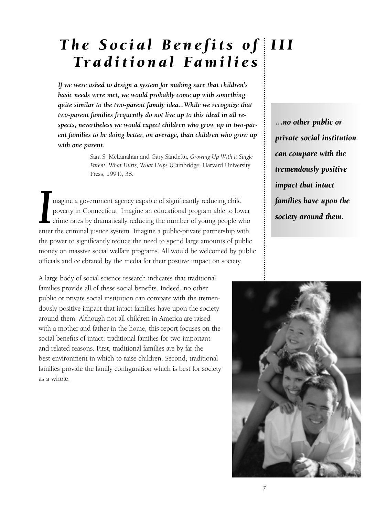## *The Social Benefits of III Traditional Families*

*If we were asked to design a system for making sure that children's basic needs were met, we would probably come up with something quite similar to the two-parent family idea...While we recognize that two-parent families frequently do not live up to this ideal in all respects, nevertheless we would expect children who grow up in two-parent families to be doing better, on average, than children who grow up with one parent.*

> Sara S. McLanahan and Gary Sandefur, *Growing Up With a Single Parent: What Hurts, What Helps* (Cambridge: Harvard University Press, 1994), 38.

Imagine a government agency capable of significantly reducing child<br>poverty in Connecticut. Imagine an educational program able to lower<br>crime rates by dramatically reducing the number of young people who<br>enter the crimina magine a government agency capable of significantly reducing child poverty in Connecticut. Imagine an educational program able to lower  $\mathsf{\mathsf{L}}$  crime rates by dramatically reducing the number of young people who the power to significantly reduce the need to spend large amounts of public money on massive social welfare programs. All would be welcomed by public officials and celebrated by the media for their positive impact on society.

A large body of social science research indicates that traditional families provide all of these social benefits. Indeed, no other public or private social institution can compare with the tremendously positive impact that intact families have upon the society around them. Although not all children in America are raised with a mother and father in the home, this report focuses on the social benefits of intact, traditional families for two important and related reasons. First, traditional families are by far the best environment in which to raise children. Second, traditional families provide the family configuration which is best for society as a whole.

*…no other public or private social institution can compare with the tremendously positive impact that intact families have upon the society around them.*

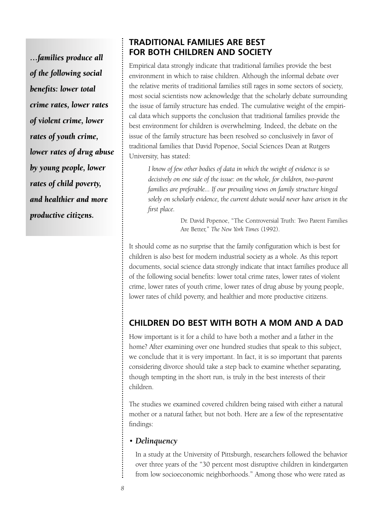*…families produce all of the following social benefits: lower total crime rates, lower rates of violent crime, lower rates of youth crime, lower rates of drug abuse by young people, lower rates of child poverty, and healthier and more productive citizens.*

## **TRADITIONAL FAMILIES ARE BEST FOR BOTH CHILDREN AND SOCIETY**

Empirical data strongly indicate that traditional families provide the best environment in which to raise children. Although the informal debate over the relative merits of traditional families still rages in some sectors of society, most social scientists now acknowledge that the scholarly debate surrounding the issue of family structure has ended. The cumulative weight of the empirical data which supports the conclusion that traditional families provide the best environment for children is overwhelming. Indeed, the debate on the issue of the family structure has been resolved so conclusively in favor of traditional families that David Popenoe, Social Sciences Dean at Rutgers University, has stated:

*I know of few other bodies of data in which the weight of evidence is so decisively on one side of the issue: on the whole, for children, two-parent families are preferable... If our prevailing views on family structure hinged solely on scholarly evidence, the current debate would never have arisen in the first place.*

> Dr. David Popenoe, "The Controversial Truth: Two Parent Families Are Better," *The New York Times* (1992).

It should come as no surprise that the family configuration which is best for children is also best for modern industrial society as a whole. As this report documents, social science data strongly indicate that intact families produce all of the following social benefits: lower total crime rates, lower rates of violent crime, lower rates of youth crime, lower rates of drug abuse by young people, lower rates of child poverty, and healthier and more productive citizens.

## **CHILDREN DO BEST WITH BOTH A MOM AND A DAD**

How important is it for a child to have both a mother and a father in the home? After examining over one hundred studies that speak to this subject, we conclude that it is very important. In fact, it is so important that parents considering divorce should take a step back to examine whether separating, though tempting in the short run, is truly in the best interests of their children.

The studies we examined covered children being raised with either a natural mother or a natural father, but not both. Here are a few of the representative findings:

### • *Delinquency*

In a study at the University of Pittsburgh, researchers followed the behavior over three years of the "30 percent most disruptive children in kindergarten from low socioeconomic neighborhoods." Among those who were rated as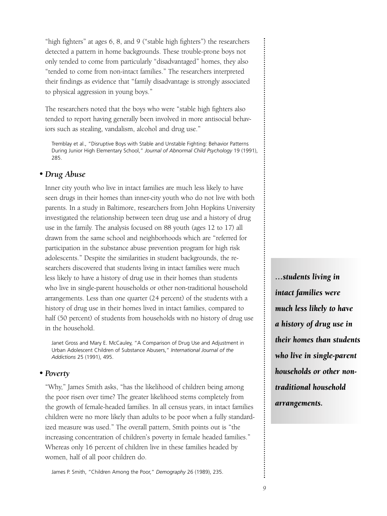"high fighters" at ages 6, 8, and 9 ("stable high fighters") the researchers detected a pattern in home backgrounds. These trouble-prone boys not only tended to come from particularly "disadvantaged" homes, they also "tended to come from non-intact families." The researchers interpreted their findings as evidence that "family disadvantage is strongly associated to physical aggression in young boys."

The researchers noted that the boys who were "stable high fighters also tended to report having generally been involved in more antisocial behaviors such as stealing, vandalism, alcohol and drug use."

Tremblay et al., "Disruptive Boys with Stable and Unstable Fighting: Behavior Patterns During Junior High Elementary School," *Journal of Abnormal Child Psychology* 19 (1991), 285.

#### *• Drug Abuse*

Inner city youth who live in intact families are much less likely to have seen drugs in their homes than inner-city youth who do not live with both parents. In a study in Baltimore, researchers from John Hopkins University investigated the relationship between teen drug use and a history of drug use in the family. The analysis focused on 88 youth (ages 12 to 17) all drawn from the same school and neighborhoods which are "referred for participation in the substance abuse prevention program for high risk adolescents." Despite the similarities in student backgrounds, the researchers discovered that students living in intact families were much less likely to have a history of drug use in their homes than students who live in single-parent households or other non-traditional household arrangements. Less than one quarter (24 percent) of the students with a history of drug use in their homes lived in intact families, compared to half (50 percent) of students from households with no history of drug use in the household.

Janet Gross and Mary E. McCauley, "A Comparison of Drug Use and Adjustment in Urban Adolescent Children of Substance Abusers," *International Journal of the Addictions* 25 (1991), 495.

#### *• Poverty*

"Why," James Smith asks, "has the likelihood of children being among the poor risen over time? The greater likelihood stems completely from the growth of female-headed families. In all census years, in intact families children were no more likely than adults to be poor when a fully standardized measure was used." The overall pattern, Smith points out is "the increasing concentration of children's poverty in female headed families." Whereas only 16 percent of children live in these families headed by women, half of all poor children do.

James P. Smith, "Children Among the Poor," *Demography* 26 (1989), 235.

*…students living in intact families were much less likely to have a history of drug use in their homes than students who live in single-parent households or other nontraditional household arrangements.*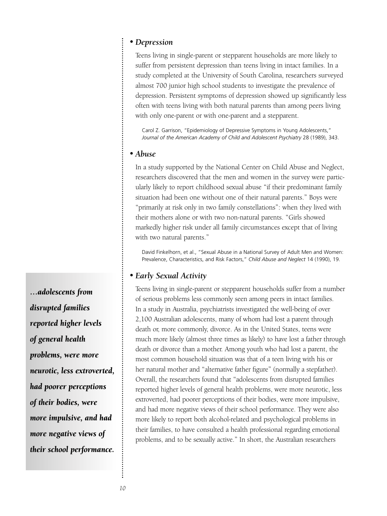#### *• Depression*

Teens living in single-parent or stepparent households are more likely to suffer from persistent depression than teens living in intact families. In a study completed at the University of South Carolina, researchers surveyed almost 700 junior high school students to investigate the prevalence of depression. Persistent symptoms of depression showed up significantly less often with teens living with both natural parents than among peers living with only one-parent or with one-parent and a stepparent.

Carol Z. Garrison, "Epidemiology of Depressive Symptoms in Young Adolescents," *Journal of the American Academy of Child and Adolescent Psychiatry* 28 (1989), 343.

#### *• Abuse*

In a study supported by the National Center on Child Abuse and Neglect, researchers discovered that the men and women in the survey were particularly likely to report childhood sexual abuse "if their predominant family situation had been one without one of their natural parents." Boys were "primarily at risk only in two family constellations": when they lived with their mothers alone or with two non-natural parents. "Girls showed markedly higher risk under all family circumstances except that of living with two natural parents."

David Finkelhorn, et al., "Sexual Abuse in a National Survey of Adult Men and Women: Prevalence, Characteristics, and Risk Factors," *Child Abuse and Neglect* 14 (1990), 19.

#### *• Early Sexual Activity*

Teens living in single-parent or stepparent households suffer from a number of serious problems less commonly seen among peers in intact families. In a study in Australia, psychiatrists investigated the well-being of over 2,100 Australian adolescents, many of whom had lost a parent through death or, more commonly, divorce. As in the United States, teens were much more likely (almost three times as likely) to have lost a father through death or divorce than a mother. Among youth who had lost a parent, the most common household situation was that of a teen living with his or her natural mother and "alternative father figure" (normally a stepfather). Overall, the researchers found that "adolescents from disrupted families reported higher levels of general health problems, were more neurotic, less extroverted, had poorer perceptions of their bodies, were more impulsive, and had more negative views of their school performance. They were also more likely to report both alcohol-related and psychological problems in their families, to have consulted a health professional regarding emotional problems, and to be sexually active." In short, the Australian researchers

*…adolescents from disrupted families reported higher levels of general health problems, were more neurotic, less extroverted, had poorer perceptions of their bodies, were more impulsive, and had more negative views of their school performance.*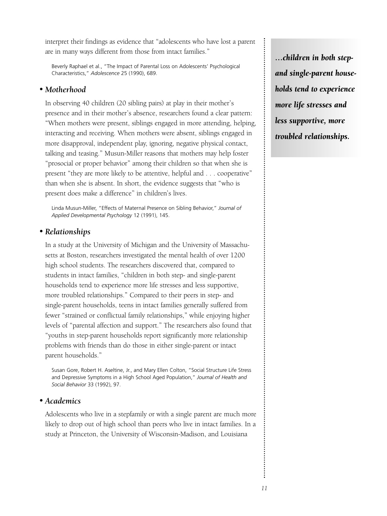interpret their findings as evidence that "adolescents who have lost a parent are in many ways different from those from intact families."

Beverly Raphael et al., "The Impact of Parental Loss on Adolescents' Psychological Characteristics," *Adolescence* 25 (1990), 689.

#### *• Motherhood*

In observing 40 children (20 sibling pairs) at play in their mother's presence and in their mother's absence, researchers found a clear pattern: "When mothers were present, siblings engaged in more attending, helping, interacting and receiving. When mothers were absent, siblings engaged in more disapproval, independent play, ignoring, negative physical contact, talking and teasing." Musun-Miller reasons that mothers may help foster "prosocial or proper behavior" among their children so that when she is present "they are more likely to be attentive, helpful and . . . cooperative" than when she is absent. In short, the evidence suggests that "who is present does make a difference" in children's lives.

Linda Musun-Miller, "Effects of Maternal Presence on Sibling Behavior," *Journal of Applied Developmental Psychology* 12 (1991), 145.

#### *• Relationships*

In a study at the University of Michigan and the University of Massachusetts at Boston, researchers investigated the mental health of over 1200 high school students. The researchers discovered that, compared to students in intact families, "children in both step- and single-parent households tend to experience more life stresses and less supportive, more troubled relationships." Compared to their peers in step- and single-parent households, teens in intact families generally suffered from fewer "strained or conflictual family relationships," while enjoying higher levels of "parental affection and support." The researchers also found that "youths in step-parent households report significantly more relationship problems with friends than do those in either single-parent or intact parent households."

Susan Gore, Robert H. Aseltine, Jr., and Mary Ellen Colton, "Social Structure Life Stress and Depressive Symptoms in a High School Aged Population," *Journal of Health and Social Behavior* 33 (1992), 97.

#### *• Academics*

Adolescents who live in a stepfamily or with a single parent are much more likely to drop out of high school than peers who live in intact families. In a study at Princeton, the University of Wisconsin-Madison, and Louisiana

*…children in both stepand single-parent households tend to experience more life stresses and less supportive, more troubled relationships.*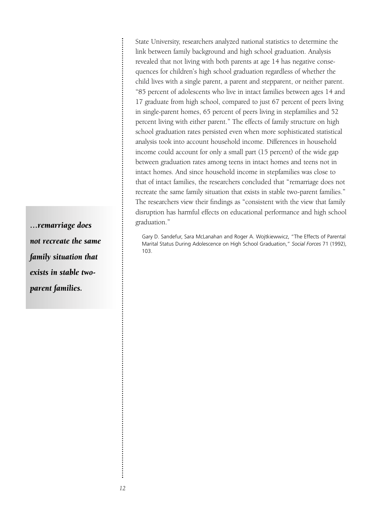State University, researchers analyzed national statistics to determine the link between family background and high school graduation. Analysis revealed that not living with both parents at age 14 has negative consequences for children's high school graduation regardless of whether the child lives with a single parent, a parent and stepparent, or neither parent. "85 percent of adolescents who live in intact families between ages 14 and 17 graduate from high school, compared to just 67 percent of peers living in single-parent homes, 65 percent of peers living in stepfamilies and 52 percent living with either parent." The effects of family structure on high school graduation rates persisted even when more sophisticated statistical analysis took into account household income. Differences in household income could account for only a small part (15 percent) of the wide gap between graduation rates among teens in intact homes and teens not in intact homes. And since household income in stepfamilies was close to that of intact families, the researchers concluded that "remarriage does not recreate the same family situation that exists in stable two-parent families." The researchers view their findings as "consistent with the view that family disruption has harmful effects on educational performance and high school graduation."

Gary D. Sandefur, Sara McLanahan and Roger A. Wojtkiewwicz, "The Effects of Parental Marital Status During Adolescence on High School Graduation," *Social Forces* 71 (1992), 103.

*…remarriage does not recreate the same family situation that exists in stable twoparent families.*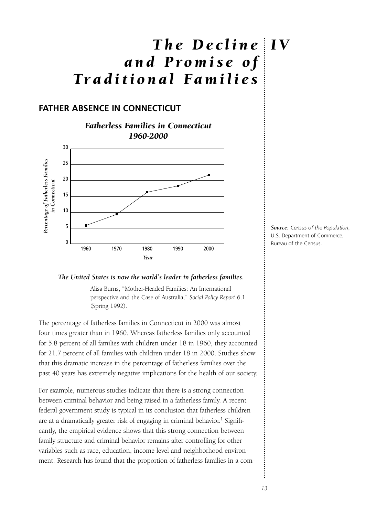## *The Decline I V and Promise of Traditional Families*

## **FATHER ABSENCE IN CONNECTICUT**



#### *The United States is now the world's leader in fatherless families.*

Alisa Burns, "Mother-Headed Families: An International perspective and the Case of Australia," *Social Policy Report* 6.1 (Spring 1992).

The percentage of fatherless families in Connecticut in 2000 was almost four times greater than in 1960. Whereas fatherless families only accounted for 5.8 percent of all families with children under 18 in 1960, they accounted for 21.7 percent of all families with children under 18 in 2000. Studies show that this dramatic increase in the percentage of fatherless families over the past 40 years has extremely negative implications for the health of our society.

For example, numerous studies indicate that there is a strong connection between criminal behavior and being raised in a fatherless family. A recent federal government study is typical in its conclusion that fatherless children are at a dramatically greater risk of engaging in criminal behavior.<sup>1</sup> Significantly, the empirical evidence shows that this strong connection between family structure and criminal behavior remains after controlling for other variables such as race, education, income level and neighborhood environment. Research has found that the proportion of fatherless families in a com*Source: Census of the Population*, U.S. Department of Commerce, Bureau of the Census.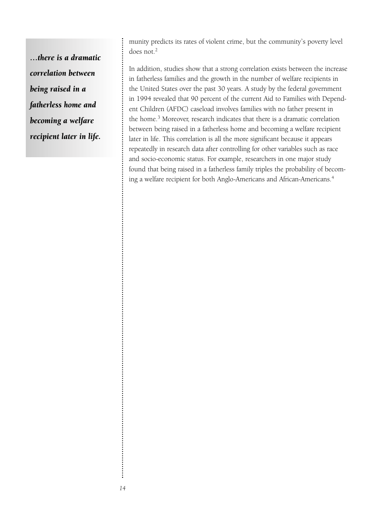*…there is a dramatic correlation between being raised in a fatherless home and becoming a welfare recipient later in life.*

munity predicts its rates of violent crime, but the community's poverty level does not.<sup>2</sup>

In addition, studies show that a strong correlation exists between the increase in fatherless families and the growth in the number of welfare recipients in the United States over the past 30 years. A study by the federal government in 1994 revealed that 90 percent of the current Aid to Families with Dependent Children (AFDC) caseload involves families with no father present in the home.<sup>3</sup> Moreover, research indicates that there is a dramatic correlation between being raised in a fatherless home and becoming a welfare recipient later in life. This correlation is all the more significant because it appears repeatedly in research data after controlling for other variables such as race and socio-economic status. For example, researchers in one major study found that being raised in a fatherless family triples the probability of becoming a welfare recipient for both Anglo-Americans and African-Americans.4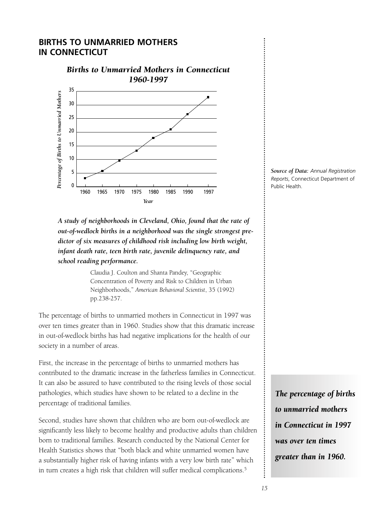## **BIRTHS TO UNMARRIED MOTHERS IN CONNECTICUT**



*A study of neighborhoods in Cleveland, Ohio, found that the rate of out-of-wedlock births in a neighborhood was the single strongest predictor of six measures of childhood risk including low birth weight, infant death rate, teen birth rate, juvenile delinquency rate, and school reading performance.*

> Claudia J. Coulton and Shanta Pandey, "Geographic Concentration of Poverty and Risk to Children in Urban Neighborhoods," *American Behavioral Scientist*, 35 (1992) pp.238-257.

The percentage of births to unmarried mothers in Connecticut in 1997 was over ten times greater than in 1960. Studies show that this dramatic increase in out-of-wedlock births has had negative implications for the health of our society in a number of areas.

First, the increase in the percentage of births to unmarried mothers has contributed to the dramatic increase in the fatherless families in Connecticut. It can also be assured to have contributed to the rising levels of those social pathologies, which studies have shown to be related to a decline in the percentage of traditional families.

Second, studies have shown that children who are born out-of-wedlock are significantly less likely to become healthy and productive adults than children born to traditional families. Research conducted by the National Center for Health Statistics shows that "both black and white unmarried women have a substantially higher risk of having infants with a very low birth rate" which in turn creates a high risk that children will suffer medical complications.<sup>5</sup>

*Source of Data: Annual Registration Reports*, Connecticut Department of Public Health.

*The percentage of births to unmarried mothers in Connecticut in 1997 was over ten times greater than in 1960.*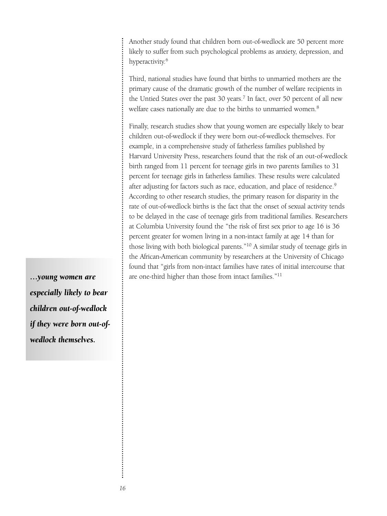Another study found that children born out-of-wedlock are 50 percent more likely to suffer from such psychological problems as anxiety, depression, and hyperactivity.<sup>6</sup>

Third, national studies have found that births to unmarried mothers are the primary cause of the dramatic growth of the number of welfare recipients in the Untied States over the past 30 years.<sup>7</sup> In fact, over 50 percent of all new welfare cases nationally are due to the births to unmarried women.<sup>8</sup>

Finally, research studies show that young women are especially likely to bear children out-of-wedlock if they were born out-of-wedlock themselves. For example, in a comprehensive study of fatherless families published by Harvard University Press, researchers found that the risk of an out-of-wedlock birth ranged from 11 percent for teenage girls in two parents families to 31 percent for teenage girls in fatherless families. These results were calculated after adjusting for factors such as race, education, and place of residence.<sup>9</sup> According to other research studies, the primary reason for disparity in the rate of out-of-wedlock births is the fact that the onset of sexual activity tends to be delayed in the case of teenage girls from traditional families. Researchers at Columbia University found the "the risk of first sex prior to age 16 is 36 percent greater for women living in a non-intact family at age 14 than for those living with both biological parents."10 A similar study of teenage girls in the African-American community by researchers at the University of Chicago found that "girls from non-intact families have rates of initial intercourse that are one-third higher than those from intact families."11

*…young women are especially likely to bear children out-of-wedlock if they were born out-ofwedlock themselves.*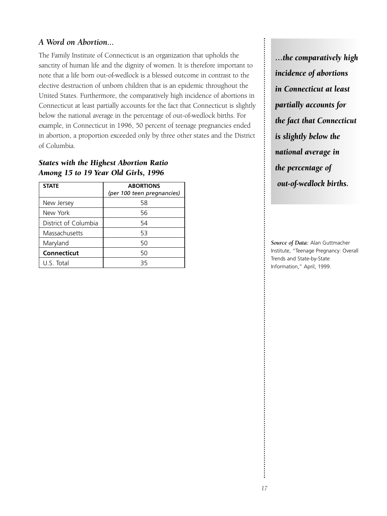## *A Word on Abortion...*

The Family Institute of Connecticut is an organization that upholds the sanctity of human life and the dignity of women. It is therefore important to note that a life born out-of-wedlock is a blessed outcome in contrast to the elective destruction of unborn children that is an epidemic throughout the United States. Furthermore, the comparatively high incidence of abortions in Connecticut at least partially accounts for the fact that Connecticut is slightly below the national average in the percentage of out-of-wedlock births. For example, in Connecticut in 1996, 50 percent of teenage pregnancies ended in abortion, a proportion exceeded only by three other states and the District of Columbia.

## *States with the Highest Abortion Ratio Among 15 to 19 Year Old Girls, 1996*

| <b>STATE</b>         | <b>ABORTIONS</b><br>(per 100 teen pregnancies) |
|----------------------|------------------------------------------------|
| New Jersey           | 58                                             |
| New York             | 56                                             |
| District of Columbia | 54                                             |
| Massachusetts        | 53                                             |
| Maryland             | 50                                             |
| Connecticut          | 50                                             |
| U.S. Total           | 35                                             |

*…the comparatively high incidence of abortions in Connecticut at least partially accounts for the fact that Connecticut is slightly below the national average in the percentage of out-of-wedlock births.*

*Source of Data:* Alan Guttmacher Institute, "Teenage Pregnancy: Overall Trends and State-by-State Information," April, 1999.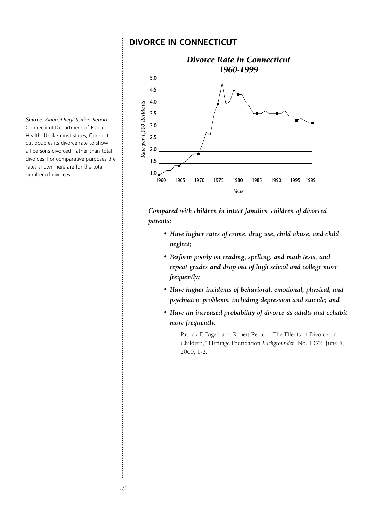### **DIVORCE IN CONNECTICUT**



*Compared with children in intact families, children of divorced parents:*

- *Have higher rates of crime, drug use, child abuse, and child neglect;*
- *Perform poorly on reading, spelling, and math tests, and repeat grades and drop out of high school and college more frequently;*
- *Have higher incidents of behavioral, emotional, physical, and psychiatric problems, including depression and suicide; and*
- *Have an increased probability of divorce as adults and cohabit more frequently.*

Patrick F. Fagen and Robert Rector, "The Effects of Divorce on Children," Heritage Foundation *Backgrounder*, No. 1372, June 5, 2000, 1-2.

*Source: Annual Registration Reports*, Connecticut Department of Public Health. Unlike most states, Connecticut doubles its divorce rate to show all persons divorced, rather than total divorces. For comparative purposes the rates shown here are for the total number of divorces.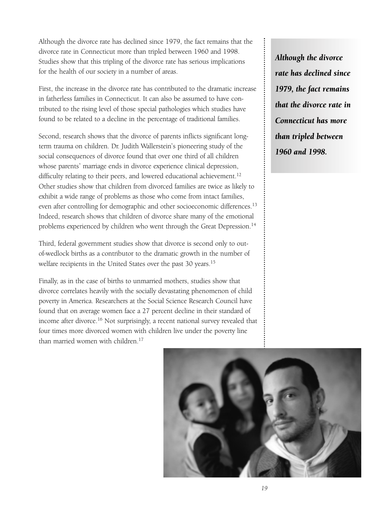Although the divorce rate has declined since 1979, the fact remains that the divorce rate in Connecticut more than tripled between 1960 and 1998. Studies show that this tripling of the divorce rate has serious implications for the health of our society in a number of areas.

First, the increase in the divorce rate has contributed to the dramatic increase in fatherless families in Connecticut. It can also be assumed to have contributed to the rising level of those special pathologies which studies have found to be related to a decline in the percentage of traditional families.

Second, research shows that the divorce of parents inflicts significant longterm trauma on children. Dr. Judith Wallerstein's pioneering study of the social consequences of divorce found that over one third of all children whose parents' marriage ends in divorce experience clinical depression, difficulty relating to their peers, and lowered educational achievement.<sup>12</sup> Other studies show that children from divorced families are twice as likely to exhibit a wide range of problems as those who come from intact families, even after controlling for demographic and other socioeconomic differences.<sup>13</sup> Indeed, research shows that children of divorce share many of the emotional problems experienced by children who went through the Great Depression.<sup>14</sup>

Third, federal government studies show that divorce is second only to outof-wedlock births as a contributor to the dramatic growth in the number of welfare recipients in the United States over the past 30 years.<sup>15</sup>

Finally, as in the case of births to unmarried mothers, studies show that divorce correlates heavily with the socially devastating phenomenon of child poverty in America. Researchers at the Social Science Research Council have found that on average women face a 27 percent decline in their standard of income after divorce.<sup>16</sup> Not surprisingly, a recent national survey revealed that four times more divorced women with children live under the poverty line than married women with children.<sup>17</sup>

*Although the divorce rate has declined since 1979, the fact remains that the divorce rate in Connecticut has more than tripled between 1960 and 1998.*

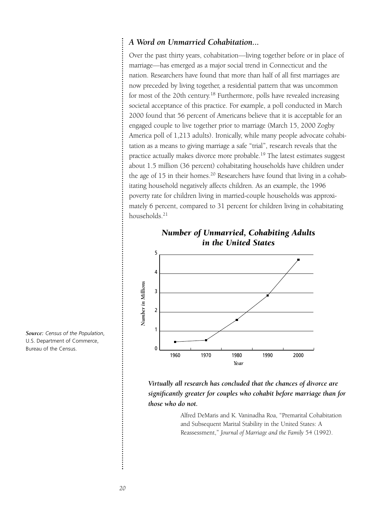### *A Word on Unmarried Cohabitation...*

Over the past thirty years, cohabitation—living together before or in place of marriage—has emerged as a major social trend in Connecticut and the nation. Researchers have found that more than half of all first marriages are now preceded by living together, a residential pattern that was uncommon for most of the 20th century.<sup>18</sup> Furthermore, polls have revealed increasing societal acceptance of this practice. For example, a poll conducted in March 2000 found that 56 percent of Americans believe that it is acceptable for an engaged couple to live together prior to marriage (March 15, 2000 Zogby America poll of 1,213 adults). Ironically, while many people advocate cohabitation as a means to giving marriage a safe "trial", research reveals that the practice actually makes divorce more probable.<sup>19</sup> The latest estimates suggest about 1.5 million (36 percent) cohabitating households have children under the age of  $15$  in their homes.<sup>20</sup> Researchers have found that living in a cohabitating household negatively affects children. As an example, the 1996 poverty rate for children living in married-couple households was approximately 6 percent, compared to 31 percent for children living in cohabitating households.<sup>21</sup>



*Number of Unmarried, Cohabiting Adults*

*Source: Census of the Population*, U.S. Department of Commerce, Bureau of the Census.

*Virtually all research has concluded that the chances of divorce are significantly greater for couples who cohabit before marriage than for those who do not.*

> Alfred DeMaris and K. Vaninadha Roa, "Premarital Cohabitation and Subsequent Marital Stability in the United States: A Reassessment," *Journal of Marriage and the Family* 54 (1992).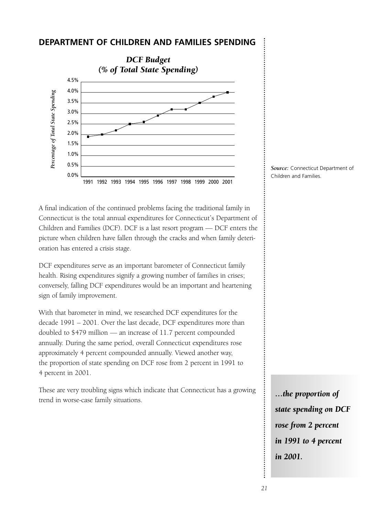#### **DEPARTMENT OF CHILDREN AND FAMILIES SPENDING**



A final indication of the continued problems facing the traditional family in Connecticut is the total annual expenditures for Connecticut's Department of Children and Families (DCF). DCF is a last resort program — DCF enters the picture when children have fallen through the cracks and when family deterioration has entered a crisis stage.

DCF expenditures serve as an important barometer of Connecticut family health. Rising expenditures signify a growing number of families in crises; conversely, falling DCF expenditures would be an important and heartening sign of family improvement.

With that barometer in mind, we researched DCF expenditures for the decade 1991 – 2001. Over the last decade, DCF expenditures more than doubled to \$479 million — an increase of 11.7 percent compounded annually. During the same period, overall Connecticut expenditures rose approximately 4 percent compounded annually. Viewed another way, the proportion of state spending on DCF rose from 2 percent in 1991 to 4 percent in 2001.

These are very troubling signs which indicate that Connecticut has a growing trend in worse-case family situations.



*…the proportion of state spending on DCF rose from 2 percent in 1991 to 4 percent in 2001.*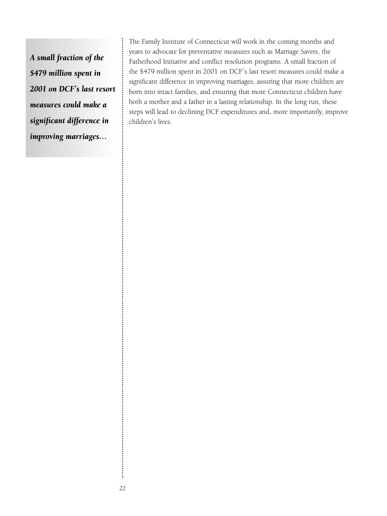*A small fraction of the \$479 million spent in 2001 on DCF's last resort measures could make a significant difference in improving marriages…*

The Family Institute of Connecticut will work in the coming months and years to advocate for preventative measures such as Marriage Savers, the Fatherhood Initiative and conflict resolution programs. A small fraction of the \$479 million spent in 2001 on DCF's last resort measures could make a significant difference in improving marriages, assuring that more children are born into intact families, and ensuring that more Connecticut children have both a mother and a father in a lasting relationship. In the long run, these steps will lead to declining DCF expenditures and, more importantly, improve children's lives.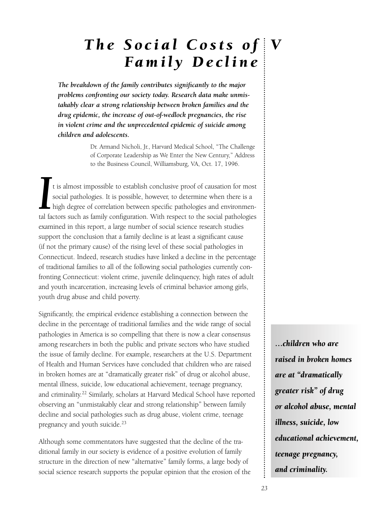## *The Social Costs of V Family Decline*

*The breakdown of the family contributes significantly to the major problems confronting our society today. Research data make unmistakably clear a strong relationship between broken families and the drug epidemic, the increase of out-of-wedlock pregnancies, the rise in violent crime and the unprecedented epidemic of suicide among children and adolescents.*

> Dr. Armand Nicholi, Jr., Harvard Medical School, "The Challenge of Corporate Leadership as We Enter the New Century," Address to the Business Council, Williamsburg, VA, Oct. 17, 1996.

It is almost impossible to establish conclusive proof of causation for most social pathologies. It is possible, however, to determine when there is a high degree of correlation between specific pathologies and environmenta t is almost impossible to establish conclusive proof of causation for most social pathologies. It is possible, however, to determine when there is a high degree of correlation between specific pathologies and environmenexamined in this report, a large number of social science research studies support the conclusion that a family decline is at least a significant cause (if not the primary cause) of the rising level of these social pathologies in Connecticut. Indeed, research studies have linked a decline in the percentage of traditional families to all of the following social pathologies currently confronting Connecticut: violent crime, juvenile delinquency, high rates of adult and youth incarceration, increasing levels of criminal behavior among girls, youth drug abuse and child poverty.

Significantly, the empirical evidence establishing a connection between the decline in the percentage of traditional families and the wide range of social pathologies in America is so compelling that there is now a clear consensus among researchers in both the public and private sectors who have studied the issue of family decline. For example, researchers at the U.S. Department of Health and Human Services have concluded that children who are raised in broken homes are at "dramatically greater risk" of drug or alcohol abuse, mental illness, suicide, low educational achievement, teenage pregnancy, and criminality.22 Similarly, scholars at Harvard Medical School have reported observing an "unmistakably clear and strong relationship" between family decline and social pathologies such as drug abuse, violent crime, teenage pregnancy and youth suicide.<sup>23</sup>

Although some commentators have suggested that the decline of the traditional family in our society is evidence of a positive evolution of family structure in the direction of new "alternative" family forms, a large body of social science research supports the popular opinion that the erosion of the *…children who are raised in broken homes are at "dramatically greater risk" of drug or alcohol abuse, mental illness, suicide, low educational achievement, teenage pregnancy, and criminality.*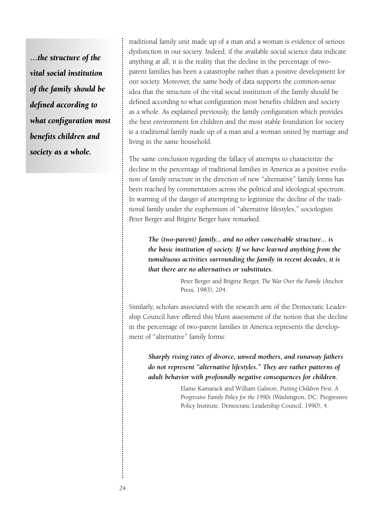*…the structure of the vital social institution of the family should be defined according to what configuration most benefits children and society as a whole.*

traditional family unit made up of a man and a woman is evidence of serious dysfunction in our society. Indeed, if the available social science data indicate anything at all, it is the reality that the decline in the percentage of twoparent families has been a catastrophe rather than a positive development for our society. Moreover, the same body of data supports the common-sense idea that the structure of the vital social institution of the family should be defined according to what configuration most benefits children and society as a whole. As explained previously, the family configuration which provides the best environment for children and the most stable foundation for society is a traditional family made up of a man and a woman united by marriage and living in the same household.

The same conclusion regarding the fallacy of attempts to characterize the decline in the percentage of traditional families in America as a positive evolution of family structure in the direction of new "alternative" family forms has been reached by commentators across the political and ideological spectrum. In warning of the danger of attempting to legitimize the decline of the traditional family under the euphemism of "alternative lifestyles," sociologists Peter Berger and Brigitte Berger have remarked:

*The (two-parent) family... and no other conceivable structure... is the basic institution of society. If we have learned anything from the tumultuous activities surrounding the family in recent decades, it is that there are no alternatives or substitutes.*

> Peter Berger and Brigitte Berger, *The War Over the Family* (Anchor Press, 1983), 204.

Similarly, scholars associated with the research arm of the Democratic Leadership Council have offered this blunt assessment of the notion that the decline in the percentage of two-parent families in America represents the development of "alternative" family forms:

*Sharply rising rates of divorce, unwed mothers, and runaway fathers do not represent "alternative lifestyles." They are rather patterns of adult behavior with profoundly negative consequences for children.*

> Elaine Kamarack and William Galston, *Putting Children First: A Progressive Family Policy for the 1990s* (Washington, DC: Progressive Policy Institute, Democratic Leadership Council, 1990), 4.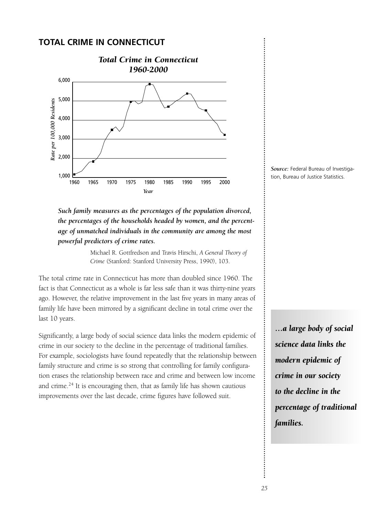## **TOTAL CRIME IN CONNECTICUT**



*Such family measures as the percentages of the population divorced, the percentages of the households headed by women, and the percentage of unmatched individuals in the community are among the most powerful predictors of crime rates.*

> Michael R. Gottfredson and Travis Hirschi, *A General Theory of Crime* (Stanford: Stanford University Press, 1990), 103.

The total crime rate in Connecticut has more than doubled since 1960. The fact is that Connecticut as a whole is far less safe than it was thirty-nine years ago. However, the relative improvement in the last five years in many areas of family life have been mirrored by a significant decline in total crime over the last 10 years.

Significantly, a large body of social science data links the modern epidemic of crime in our society to the decline in the percentage of traditional families. For example, sociologists have found repeatedly that the relationship between family structure and crime is so strong that controlling for family configuration erases the relationship between race and crime and between low income and crime.<sup>24</sup> It is encouraging then, that as family life has shown cautious improvements over the last decade, crime figures have followed suit.



*…a large body of social science data links the modern epidemic of crime in our society to the decline in the percentage of traditional families.*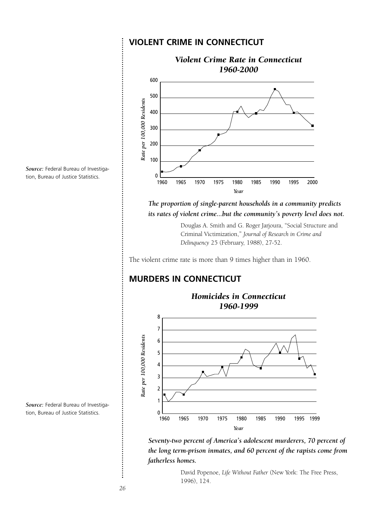## **VIOLENT CRIME IN CONNECTICUT** *Violent Crime Rate in Connecticut 1960-2000* 600



*Source:* Federal Bureau of Investigation, Bureau of Justice Statistics.

## *its rates of violent crime...but the community's poverty level does not.* Douglas A. Smith and G. Roger Jarjoura, "Social Structure and

*The proportion of single-parent households in a community predicts*

Criminal Victimization," *Journal of Research in Crime and Delinquency* 25 (February, 1988), 27-52.

The violent crime rate is more than 9 times higher than in 1960.

## **MURDERS IN CONNECTICUT**



*Seventy-two percent of America's adolescent murderers, 70 percent of the long term-prison inmates, and 60 percent of the rapists come from fatherless homes.*

> David Popenoe, *Life Without Father* (New York: The Free Press, 1996), 124.

*Source:* Federal Bureau of Investigation, Bureau of Justice Statistics.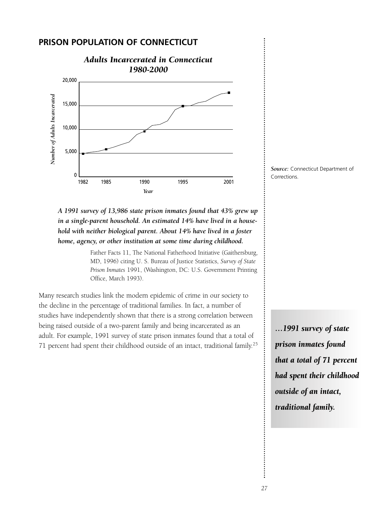### **PRISON POPULATION OF CONNECTICUT**





## *A 1991 survey of 13,986 state prison inmates found that 43% grew up in a single-parent household. An estimated 14% have lived in a household with neither biological parent. About 14% have lived in a foster home, agency, or other institution at some time during childhood.*

Father Facts 11, The National Fatherhood Initiative (Gaithersburg, MD, 1996) citing U. S. Bureau of Justice Statistics, *Survey of State Prison Inmates* 1991, (Washington, DC: U.S. Government Printing Office, March 1993).

Many research studies link the modern epidemic of crime in our society to the decline in the percentage of traditional families. In fact, a number of studies have independently shown that there is a strong correlation between being raised outside of a two-parent family and being incarcerated as an adult. For example, 1991 survey of state prison inmates found that a total of 71 percent had spent their childhood outside of an intact, traditional family.25

*…1991 survey of state prison inmates found that a total of 71 percent had spent their childhood outside of an intact, traditional family.*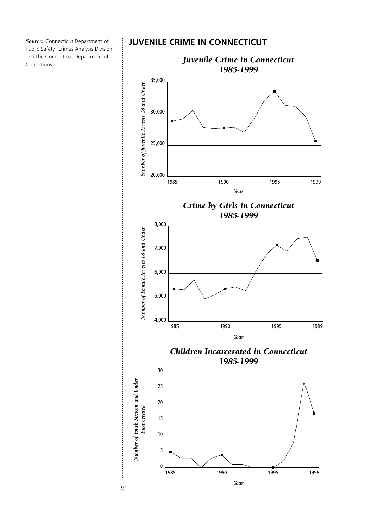*Source:* Connecticut Department of Public Safety, Crimes Analysis Division and the Connecticut Department of Corrections.

### **JUVENILE CRIME IN CONNECTICUT**



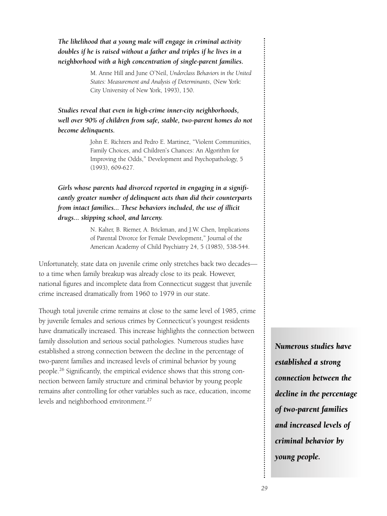## *The likelihood that a young male will engage in criminal activity doubles if he is raised without a father and triples if he lives in a neighborhood with a high concentration of single-parent families.*

M. Anne Hill and June O'Neil, *Underclass Behaviors in the United States: Measurement and Analysis of Determinants*, (New York: City University of New York, 1993), 150.

*Studies reveal that even in high-crime inner-city neighborhoods, well over 90% of children from safe, stable, two-parent homes do not become delinquents.*

> John E. Richters and Pedro E. Martinez, "Violent Communities, Family Choices, and Children's Chances: An Algorithm for Improving the Odds," Development and Psychopathology, 5 (1993), 609-627.

*Girls whose parents had divorced reported in engaging in a significantly greater number of delinquent acts than did their counterparts from intact families... These behaviors included, the use of illicit drugs... skipping school, and larceny.*

> N. Kalter, B. Riemer, A. Brickman, and J.W. Chen, Implications of Parental Divorce for Female Development," Journal of the American Academy of Child Psychiatry 24, 5 (1985), 538-544.

Unfortunately, state data on juvenile crime only stretches back two decades to a time when family breakup was already close to its peak. However, national figures and incomplete data from Connecticut suggest that juvenile crime increased dramatically from 1960 to 1979 in our state.

Though total juvenile crime remains at close to the same level of 1985, crime by juvenile females and serious crimes by Connecticut's youngest residents have dramatically increased. This increase highlights the connection between family dissolution and serious social pathologies. Numerous studies have established a strong connection between the decline in the percentage of two-parent families and increased levels of criminal behavior by young people.26 Significantly, the empirical evidence shows that this strong connection between family structure and criminal behavior by young people remains after controlling for other variables such as race, education, income levels and neighborhood environment.<sup>27</sup>

*Numerous studies have established a strong connection between the decline in the percentage of two-parent families and increased levels of criminal behavior by young people.*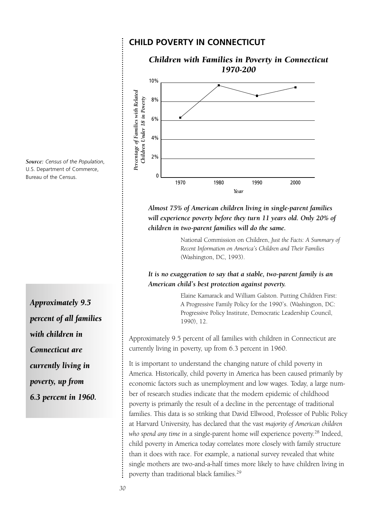#### **CHILD POVERTY IN CONNECTICUT**



*Almost 75% of American children living in single-parent families will experience poverty before they turn 11 years old. Only 20% of children in two-parent families will do the same.*

> National Commission on Children, *Just the Facts: A Summary of Recent Information on America's Children and Their Families* (Washington, DC, 1993).

#### *It is no exaggeration to say that a stable, two-parent family is an American child's best protection against poverty.*

Elaine Kamarack and William Galston. Putting Children First: A Progressive Family Policy for the 1990's. (Washington, DC: Progressive Policy Institute, Democratic Leadership Council, 1990), 12.

Approximately 9.5 percent of all families with children in Connecticut are currently living in poverty, up from 6.3 percent in 1960.

It is important to understand the changing nature of child poverty in America. Historically, child poverty in America has been caused primarily by economic factors such as unemployment and low wages. Today, a large number of research studies indicate that the modern epidemic of childhood poverty is primarily the result of a decline in the percentage of traditional families. This data is so striking that David Ellwood, Professor of Public Policy at Harvard University, has declared that the vast *majority of American children* who spend any time in a single-parent home will experience poverty.<sup>28</sup> Indeed, child poverty in America today correlates more closely with family structure than it does with race. For example, a national survey revealed that white single mothers are two-and-a-half times more likely to have children living in poverty than traditional black families.29

*Source: Census of the Population*, U.S. Department of Commerce, Bureau of the Census.

*Approximately 9.5 percent of all families with children in Connecticut are currently living in poverty, up from 6.3 percent in 1960.*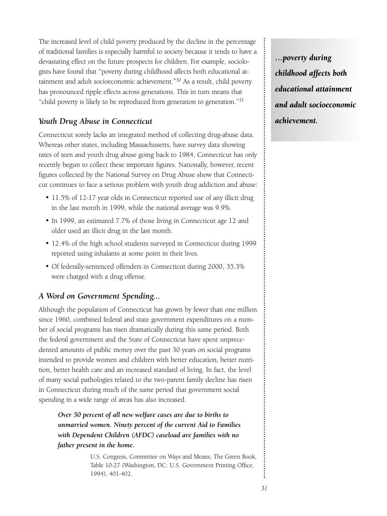The increased level of child poverty produced by the decline in the percentage of traditional families is especially harmful to society because it tends to have a devastating effect on the future prospects for children. For example, sociologists have found that "poverty during childhood affects both educational attainment and adult socioeconomic achievement."<sup>30</sup> As a result, child poverty has pronounced ripple effects across generations. This in turn means that "child poverty is likely to be reproduced from generation to generation."31

## *Youth Drug Abuse in Connecticut*

Connecticut sorely lacks an integrated method of collecting drug-abuse data. Whereas other states, including Massachusetts, have survey data showing rates of teen and youth drug abuse going back to 1984, Connecticut has only recently begun to collect these important figures. Nationally, however, recent figures collected by the National Survey on Drug Abuse show that Connecticut continues to face a serious problem with youth drug addiction and abuse:

- 11.5% of 12-17 year olds in Connecticut reported use of any illicit drug in the last month in 1999, while the national average was 9.9%.
- In 1999, an estimated 7.7% of those living in Connecticut age 12 and older used an illicit drug in the last month.
- 12.4% of the high school students surveyed in Connecticut during 1999 reported using inhalants at some point in their lives.
- Of federally-sentenced offenders in Connecticut during 2000, 35.3% were charged with a drug offense.

## *A Word on Government Spending...*

Although the population of Connecticut has grown by fewer than one million since 1960, combined federal and state government expenditures on a number of social programs has risen dramatically during this same period. Both the federal government and the State of Connecticut have spent unprecedented amounts of public money over the past 30 years on social programs intended to provide women and children with better education, better nutrition, better health care and an increased standard of living. In fact, the level of many social pathologies related to the two-parent family decline has risen in Connecticut during much of the same period that government social spending in a wide range of areas has also increased.

*Over 50 percent of all new welfare cases are due to births to unmarried women. Ninety percent of the current Aid to Families with Dependent Children (AFDC) caseload are families with no father present in the home.*

> U.S. Congress, Committee on Ways and Means, The Green Book, Table 10-27 (Washington, DC: U.S. Government Printing Office, 1994), 401-402.

*…poverty during childhood affects both educational attainment and adult socioeconomic achievement.*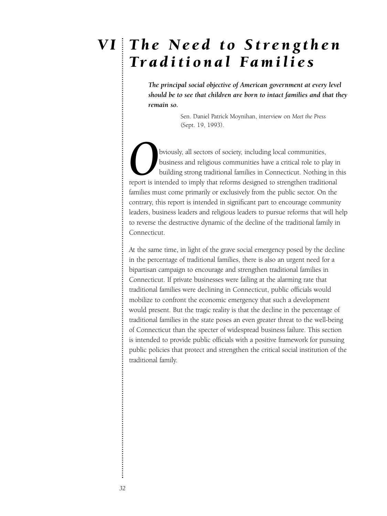## *The Need to Strengthen V ITraditional Families*

*The principal social objective of American government at every level should be to see that children are born to intact families and that they remain so.*

> Sen. Daniel Patrick Moynihan, interview on *Meet the Press* (Sept. 19, 1993).

bviously, all sectors of society, including local communities, business and religious communities have a critical role to play in building strong traditional families in Connecticut. Nothing in this report is intended to imply that reforms designed to strengthen traditional families must come primarily or exclusively from the public sector. On the contrary, this report is intended in significant part to encourage community leaders, business leaders and religious leaders to pursue reforms that will help to reverse the destructive dynamic of the decline of the traditional family in Connecticut.

At the same time, in light of the grave social emergency posed by the decline in the percentage of traditional families, there is also an urgent need for a bipartisan campaign to encourage and strengthen traditional families in Connecticut. If private businesses were failing at the alarming rate that traditional families were declining in Connecticut, public officials would mobilize to confront the economic emergency that such a development would present. But the tragic reality is that the decline in the percentage of traditional families in the state poses an even greater threat to the well-being of Connecticut than the specter of widespread business failure. This section is intended to provide public officials with a positive framework for pursuing public policies that protect and strengthen the critical social institution of the traditional family.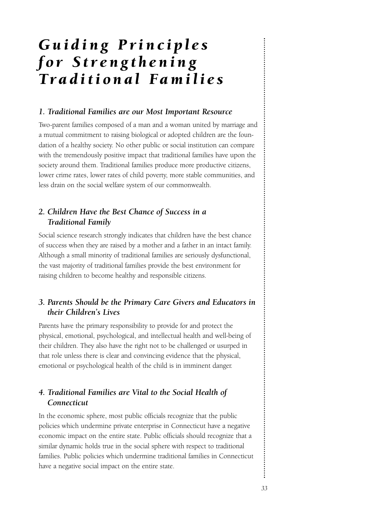## *Guiding Principles for Strengthening Traditional Families*

#### *1. Traditional Families are our Most Important Resource*

Two-parent families composed of a man and a woman united by marriage and a mutual commitment to raising biological or adopted children are the foundation of a healthy society. No other public or social institution can compare with the tremendously positive impact that traditional families have upon the society around them. Traditional families produce more productive citizens, lower crime rates, lower rates of child poverty, more stable communities, and less drain on the social welfare system of our commonwealth.

## *2. Children Have the Best Chance of Success in a Traditional Family*

Social science research strongly indicates that children have the best chance of success when they are raised by a mother and a father in an intact family. Although a small minority of traditional families are seriously dysfunctional, the vast majority of traditional families provide the best environment for raising children to become healthy and responsible citizens.

## *3. Parents Should be the Primary Care Givers and Educators in their Children's Lives*

Parents have the primary responsibility to provide for and protect the physical, emotional, psychological, and intellectual health and well-being of their children. They also have the right not to be challenged or usurped in that role unless there is clear and convincing evidence that the physical, emotional or psychological health of the child is in imminent danger.

## *4. Traditional Families are Vital to the Social Health of Connecticut*

In the economic sphere, most public officials recognize that the public policies which undermine private enterprise in Connecticut have a negative economic impact on the entire state. Public officials should recognize that a similar dynamic holds true in the social sphere with respect to traditional families. Public policies which undermine traditional families in Connecticut have a negative social impact on the entire state.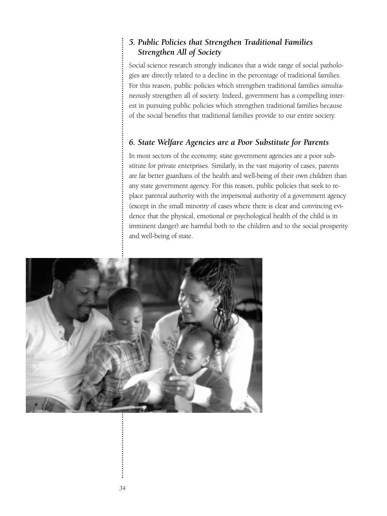## *5. Public Policies that Strengthen Traditional Families Strengthen All of Society*

Social science research strongly indicates that a wide range of social pathologies are directly related to a decline in the percentage of traditional families. For this reason, public policies which strengthen traditional families simultaneously strengthen all of society. Indeed, government has a compelling interest in pursuing public policies which strengthen traditional families because of the social benefits that traditional families provide to our entire society.

## *6. State Welfare Agencies are a Poor Substitute for Parents*

In most sectors of the economy, state government agencies are a poor substitute for private enterprises. Similarly, in the vast majority of cases, parents are far better guardians of the health and well-being of their own children than any state government agency. For this reason, public policies that seek to replace parental authority with the impersonal authority of a government agency (except in the small minority of cases where there is clear and convincing evidence that the physical, emotional or psychological health of the child is in imminent danger) are harmful both to the children and to the social prosperity and well-being of state.

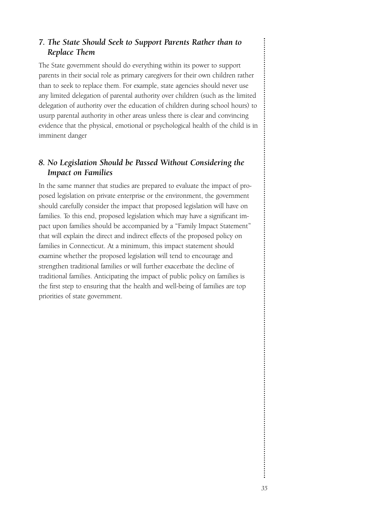## *7. The State Should Seek to Support Parents Rather than to Replace Them*

The State government should do everything within its power to support parents in their social role as primary caregivers for their own children rather than to seek to replace them. For example, state agencies should never use any limited delegation of parental authority over children (such as the limited delegation of authority over the education of children during school hours) to usurp parental authority in other areas unless there is clear and convincing evidence that the physical, emotional or psychological health of the child is in imminent danger

## *8. No Legislation Should be Passed Without Considering the Impact on Families*

In the same manner that studies are prepared to evaluate the impact of proposed legislation on private enterprise or the environment, the government should carefully consider the impact that proposed legislation will have on families. To this end, proposed legislation which may have a significant impact upon families should be accompanied by a "Family Impact Statement" that will explain the direct and indirect effects of the proposed policy on families in Connecticut. At a minimum, this impact statement should examine whether the proposed legislation will tend to encourage and strengthen traditional families or will further exacerbate the decline of traditional families. Anticipating the impact of public policy on families is the first step to ensuring that the health and well-being of families are top priorities of state government.

 $\vdots$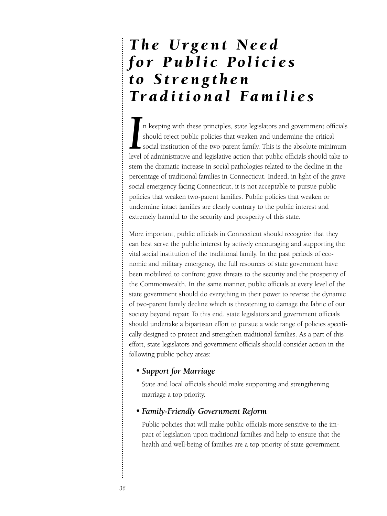## *The Urgent Need for Public Policies to Strengthen Traditional Families*

II a keeping with these principles, state legislators and government officials should reject public policies that weaken and undermine the critical social institution of the two-parent family. This is the absolute minimum n keeping with these principles, state legislators and government officials should reject public policies that weaken and undermine the critical social institution of the two-parent family. This is the absolute minimum stem the dramatic increase in social pathologies related to the decline in the percentage of traditional families in Connecticut. Indeed, in light of the grave social emergency facing Connecticut, it is not acceptable to pursue public policies that weaken two-parent families. Public policies that weaken or undermine intact families are clearly contrary to the public interest and extremely harmful to the security and prosperity of this state.

More important, public officials in Connecticut should recognize that they can best serve the public interest by actively encouraging and supporting the vital social institution of the traditional family. In the past periods of economic and military emergency, the full resources of state government have been mobilized to confront grave threats to the security and the prosperity of the Commonwealth. In the same manner, public officials at every level of the state government should do everything in their power to reverse the dynamic of two-parent family decline which is threatening to damage the fabric of our society beyond repair. To this end, state legislators and government officials should undertake a bipartisan effort to pursue a wide range of policies specifically designed to protect and strengthen traditional families. As a part of this effort, state legislators and government officials should consider action in the following public policy areas:

### *• Support for Marriage*

State and local officials should make supporting and strengthening marriage a top priority.

#### *• Family-Friendly Government Reform*

Public policies that will make public officials more sensitive to the impact of legislation upon traditional families and help to ensure that the health and well-being of families are a top priority of state government.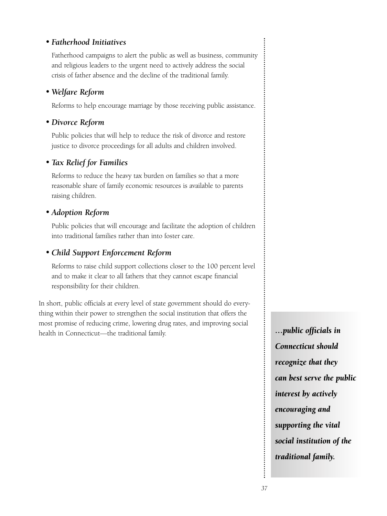## *• Fatherhood Initiatives*

Fatherhood campaigns to alert the public as well as business, community and religious leaders to the urgent need to actively address the social crisis of father absence and the decline of the traditional family.

## *• Welfare Reform*

Reforms to help encourage marriage by those receiving public assistance.

## *• Divorce Reform*

Public policies that will help to reduce the risk of divorce and restore justice to divorce proceedings for all adults and children involved.

## *• Tax Relief for Families*

Reforms to reduce the heavy tax burden on families so that a more reasonable share of family economic resources is available to parents raising children.

## *• Adoption Reform*

Public policies that will encourage and facilitate the adoption of children into traditional families rather than into foster care.

## *• Child Support Enforcement Reform*

Reforms to raise child support collections closer to the 100 percent level and to make it clear to all fathers that they cannot escape financial responsibility for their children.

In short, public officials at every level of state government should do everything within their power to strengthen the social institution that offers the most promise of reducing crime, lowering drug rates, and improving social health in Connecticut—the traditional family.

*…public officials in Connecticut should recognize that they can best serve the public interest by actively encouraging and supporting the vital social institution of the traditional family.*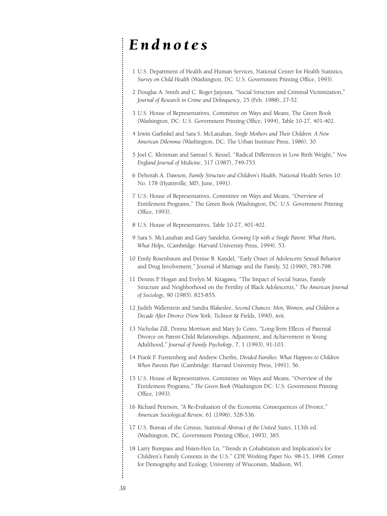## *Endnotes*

- 1 U.S. Department of Health and Human Services, National Center for Health Statistics, *Survey on Child Health* (Washington, DC: U.S. Government Printing Office, 1993).
- 2 Douglas A. Smith and C. Roger Jarjoura, "Social Structure and Criminal Victimization," *Journal of Research in Crime and Delinquency*, 25 (Feb. 1988), 27-52.
- 3 U.S. House of Representatives, Committee on Ways and Means, The Green Book (Washington, DC: U.S. Government Printing Office, 1994), Table 10-27, 401-402.
- 4 Irwin Garfinkel and Sara S. McLanahan, *Single Mothers and Their Children: A New American Dilemma* (Washington, DC: The Urban Institute Press, 1986), 30.
- 5 Joel C. Kleinman and Samuel S. Kessel, "Radical Differences in Low Birth Weight," *New England Journal of Medicine*, 317 (1987), 749-753.
- 6 Deborah A. Dawson, *Family Structure and Children's Health*, National Health Series 10: No. 178 (Hyattsville, MD, June, 1991).
- 7 U.S. House of Representatives, Committee on Ways and Means, "Overview of Entitlement Programs," The Green Book (Washington, DC: U.S. Government Printing Office, 1993).
- 8 U.S. House of Representatives, Table 10-27, 401-402.
- 9 Sara S. McLanahan and Gary Sandefur, *Growing Up with a Single Parent: What Hurts, What Helps*, (Cambridge: Harvard University Press, 1994), 53.
- 10 Emily Rosenbaum and Denise B. Kandel, "Early Onset of Adolescent Sexual Behavior and Drug Involvement," Journal of Marriage and the Family, 52 (1990), 783-798.
- 11 Dennis P. Hogan and Evelyn M. Kitagawa, "The Impact of Social Status, Family Structure and Neighborhood on the Fertility of Black Adolescents," *The American Journal of Sociology*, 90 (1985), 825-855.
- 12 Judith Wallerstein and Sandra Blakeslee, *Second Chances: Men, Women, and Children a Decade After Divorce* (New York: Ticknor & Fields, 1990), xvii.
- 13 Nicholas Zill, Donna Morrison and Mary Jo Coiro, "Long-Term Effects of Parental Divorce on Parent-Child Relationships, Adjustment, and Achievement in Young Adulthood," *Journal of Family Psychology*, 7, 1 (1993), 91-103.
- 14 Frank F. Furstenberg and Andrew Cherlin, *Divided Families: What Happens to Children When Parents Part* (Cambridge: Harvard University Press, 1991), 56.
- 15 U.S. House of Representatives, Committee on Ways and Means, "Overview of the Entitlement Programs," *The Green Book* (Washington DC: U.S. Government Printing Office, 1993).
- 16 Richard Peterson, "A Re-Evaluation of the Economic Consequences of Divorce," *American Sociological Review*, 61 (1996), 528-536.
- 17 U.S. Bureau of the Census, *Statistical Abstract of the United States*, 113th ed. (Washington, DC, Government Printing Office, 1993), 385.
- 18 Larry Bumpass and Hsien-Hen Lu, "Trends in Cohabitation and Implication's for Children's Family Contexts in the U.S." CDE Working Paper No. 98-15, 1998. Center for Demography and Ecology, University of Wisconsin, Madison, WI.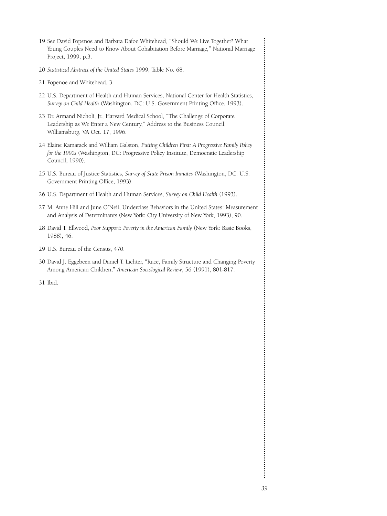- 19 See David Popenoe and Barbara Dafoe Whitehead, "Should We Live Together? What Young Couples Need to Know About Cohabitation Before Marriage," National Marriage Project, 1999, p.3.
- 20 *Statistical Abstract of the United States* 1999, Table No. 68.
- 21 Popenoe and Whitehead, 3.
- 22 U.S. Department of Health and Human Services, National Center for Health Statistics, *Survey on Child Health* (Washington, DC: U.S. Government Printing Office, 1993).
- 23 Dr. Armand Nicholi, Jr., Harvard Medical School, "The Challenge of Corporate Leadership as We Enter a New Century," Address to the Business Council, Williamsburg, VA Oct. 17, 1996.
- 24 Elaine Kamarack and William Galston, *Putting Children First: A Progressive Family Policy for the 1990s* (Washington, DC: Progressive Policy Institute, Democratic Leadership Council, 1990).
- 25 U.S. Bureau of Justice Statistics, *Survey of State Prison Inmates* (Washington, DC: U.S. Government Printing Office, 1993).
- 26 U.S. Department of Health and Human Services, *Survey on Child Health* (1993).
- 27 M. Anne Hill and June O'Neil, Underclass Behaviors in the United States: Measurement and Analysis of Determinants (New York: City University of New York, 1993), 90.
- 28 David T. Ellwood, *Poor Support: Poverty in the American Family* (New York: Basic Books, 1988), 46.
- 29 U.S. Bureau of the Census, 470.
- 30 David J. Eggebeen and Daniel T. Lichter, "Race, Family Structure and Changing Poverty Among American Children," *American Sociological Review*, 56 (1991), 801-817.
- 31 Ibid.

 $\vdots$